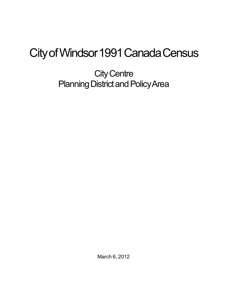## City of Windsor 1991 Canada Census

**City Centre** Planning District and Policy Area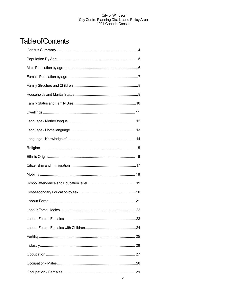## **Table of Contents**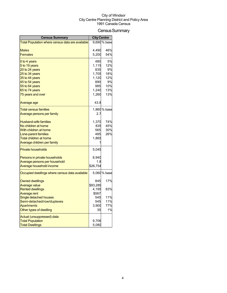## Census Summary

| <b>Census Summary</b>                            | <b>City Centre</b> |              |
|--------------------------------------------------|--------------------|--------------|
| Total Population where census data are available |                    | 9,690 % base |
|                                                  |                    |              |
| <b>Males</b>                                     | 4,490              | 46%          |
| <b>Females</b>                                   | 5,200              | 54%          |
| 0 to 4 years                                     | 480                | 5%           |
| 5 to 19 years                                    | 1,115              | 12%          |
| 20 to 24 years                                   | 835                | 9%           |
| 25 to 34 years                                   | 1,705              | 18%          |
| 35 to 44 years                                   | 1,120              | 12%          |
| 45 to 54 years                                   | 890<br>985         | 9%<br>10%    |
| 55 to 64 years<br>65 to 74 years                 | 1,240              | 13%          |
| 75 years and over                                | 1,260              | 13%          |
|                                                  |                    |              |
| Average age                                      | 43.8               |              |
| <b>Total census families</b>                     |                    | 1,860 % base |
| Average persons per family                       | 2.7                |              |
| <b>Husband-wife families</b>                     | 1,370              | 74%          |
| No children at home                              | 835                | 45%          |
| With children at home                            | 565                | 30%          |
| Lone-parent families                             | 485                | 26%          |
| <b>Total children at home</b>                    | 1,865              |              |
| Average children per family                      |                    |              |
| <b>Private households</b>                        | 5,045              |              |
| Persons in private households                    | 8,940              |              |
| Average persons per household                    | 1.8                |              |
| Average household income                         | \$26,754           |              |
| Occupied dwellings where census data available   |                    | 5,060 % base |
| <b>Owned dwellings</b>                           | 845                | 17%          |
| <b>Average value</b>                             | \$83,289           |              |
| <b>Rented dwellings</b>                          | 4,195              | 83%          |
| <b>Average rent</b>                              | \$567              |              |
| Single detached houses                           | 545                | 11%          |
| Semi-detached/row/duplexes                       | 545                | 11%          |
| <b>Apartments</b>                                | 3,900              | 77%          |
| Other types of dwelling                          | 35                 | 1%           |
| Actual (unsuppressed) data:                      |                    |              |
| <b>Total Population</b>                          | 9,706              |              |
| <b>Total Dwellings</b>                           | 5,080              |              |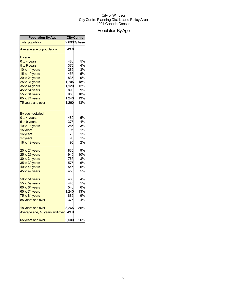## Population By Age

| <b>Population By Age</b>       | <b>City Centre</b> |              |
|--------------------------------|--------------------|--------------|
| <b>Total population</b>        |                    | 9,690 % base |
| Average age of population      | 43.8               |              |
| By age:                        |                    |              |
| 0 to 4 years                   | 480                | 5%           |
| 5 to 9 years                   | 375                | 4%           |
| 10 to 14 years                 | 285                | 3%           |
| 15 to 19 years                 | 455                | 5%           |
| 20 to 24 years                 | 835                | 9%           |
| 25 to 34 years                 | 1,705              | 18%          |
| 35 to 44 years                 | 1,120              | 12%          |
| 45 to 54 years                 | 890                | 9%           |
| 55 to 64 years                 | 985                | 10%          |
| 65 to 74 years                 | 1,240              | 13%          |
| 75 years and over              | 1,260              | 13%          |
| By age - detailed:             |                    |              |
| 0 to 4 years                   | 480                | 5%           |
| 5 to 9 years                   | 375                | 4%           |
| 10 to 14 years                 | 285                | 3%           |
| 15 years                       | 95                 | 1%           |
| 16 years                       | 75                 | 1%           |
| 17 years                       | 90                 | 1%           |
| 18 to 19 years                 | 195                | 2%           |
| 20 to 24 years                 | 835                | 9%           |
| 25 to 29 years                 | 940                | 10%          |
| 30 to 34 years                 | 765                | 8%           |
| 35 to 39 years                 | 575                | 6%           |
| 40 to 44 years                 | 545                | 6%           |
| 45 to 49 years                 | 455                | 5%           |
| 50 to 54 years                 | 435                | 4%           |
| 55 to 59 years                 | 445                | 5%           |
| 60 to 64 years                 | 540                | 6%           |
| 65 to 74 years                 | 1,240              | 13%          |
| 75 to 84 years                 | 885                | 9%           |
| 85 years and over              | 375                | 4%           |
| 18 years and over              | 8,265              | 85%          |
| Average age, 18 years and over | 49.9               |              |
| 65 years and over              | 2,500              | 26%          |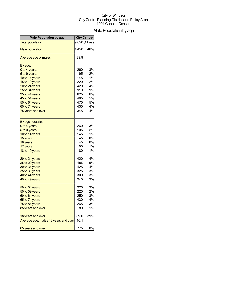## Male Population by age

| <b>Male Population by age</b>        | <b>City Centre</b> |              |
|--------------------------------------|--------------------|--------------|
| <b>Total population</b>              |                    | 9,690 % base |
| <b>Male population</b>               | 4,490              | 46%          |
| Average age of males                 | 39.9               |              |
| By age:                              |                    |              |
| 0 to 4 years                         | 260                | 3%           |
| 5 to 9 years                         | 195                | 2%           |
| 10 to 14 years                       | 145                | 1%           |
| 15 to 19 years                       | 220                | 2%           |
| 20 to 24 years                       | 420                | 4%           |
| 25 to 34 years                       | 910                | 9%           |
| 35 to 44 years                       | 625                | 6%           |
| 45 to 54 years                       | 465                | 5%           |
| 55 to 64 years                       | 470                | 5%           |
| 65 to 74 years                       | 430                | 4%           |
| 75 years and over                    | 345                | 4%           |
| By age - detailed:                   |                    |              |
| 0 to 4 years                         | 260                | 3%           |
| 5 to 9 years                         | 195                | 2%           |
| 10 to 14 years                       | 145                | 1%           |
| 15 years                             | 45                 | 0%           |
| 16 years                             | 45                 | 0%           |
| 17 years                             | 50                 | 1%           |
| 18 to 19 years                       | 80                 | 1%           |
| 20 to 24 years                       | 420                | 4%           |
| 25 to 29 years                       | 485                | 5%           |
| 30 to 34 years                       | 425                | 4%           |
| 35 to 39 years                       | 325                | 3%           |
| 40 to 44 years                       | 300                | 3%           |
| 45 to 49 years                       | 240                | 2%           |
| 50 to 54 years                       | 225                | 2%           |
| 55 to 59 years                       | 220                | 2%           |
| 60 to 64 years                       | 250                | 3%           |
| 65 to 74 years                       | 430                | 4%           |
| 75 to 84 years                       | 265                | 3%           |
| 85 years and over                    | 80                 | 1%           |
| 18 years and over                    | 3,750              | 39%          |
| Average age, males 18 years and over | 46.1               |              |
| 65 years and over                    | 775                | 8%           |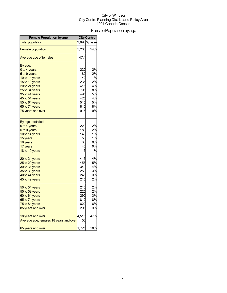## Female Population by age

| <b>Female Population by age</b>        | <b>City Centre</b> |              |
|----------------------------------------|--------------------|--------------|
| <b>Total population</b>                |                    | 9,690 % base |
| <b>Female population</b>               | 5,200              | 54%          |
| Average age of females                 | 47.1               |              |
| By age:                                |                    |              |
| 0 to 4 years                           | 220                | 2%           |
| 5 to 9 years                           | 180                | 2%           |
| 10 to 14 years                         | 140                | 1%           |
| 15 to 19 years                         | 235                | 2%           |
| 20 to 24 years                         | 415                | 4%           |
| 25 to 34 years                         | 795                | 8%           |
| 35 to 44 years                         | 495                | 5%           |
| 45 to 54 years                         | 425                | 4%           |
| 55 to 64 years                         | 515                | 5%           |
| 65 to 74 years                         | 810                | 8%           |
| 75 years and over                      | 915                | 9%           |
| By age - detailed:                     |                    |              |
| 0 to 4 years                           | 220                | 2%           |
| 5 to 9 years                           | 180                | 2%           |
| 10 to 14 years                         | 140                | 1%           |
| 15 years                               | 50                 | 1%           |
| 16 years                               | 30                 | 0%           |
| 17 years                               | 40                 | 0%           |
| 18 to 19 years                         | 115                | 1%           |
| 20 to 24 years                         | 415                | 4%           |
| 25 to 29 years                         | 455                | 5%           |
| 30 to 34 years                         | 340                | 4%           |
| 35 to 39 years                         | 250                | 3%           |
| 40 to 44 years                         | 245                | 3%           |
| 45 to 49 years                         | 215                | 2%           |
| 50 to 54 years                         | 210                | 2%           |
| 55 to 59 years                         | 225                | 2%           |
| 60 to 64 years                         | 290                | 3%           |
| 65 to 74 years                         | 810                | 8%           |
| 75 to 84 years                         | 620                | 6%           |
| 85 years and over                      | 295                | 3%           |
| 18 years and over                      | 4,515              | 47%          |
| Average age, females 18 years and over | 53                 |              |
| 65 years and over                      | 1,725              | 18%          |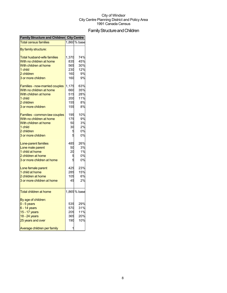## Family Structure and Children

| 1,860 % base<br><b>Total census families</b><br>By family structure:<br>74%<br><b>Total husband-wife families</b><br>1,370<br>45%<br>With no children at home<br>835<br>With children at home<br>565<br>30%<br>12%<br>1 child<br>230<br>9%<br>2 children<br>160<br>9%<br>3 or more children<br>160<br>1,175<br>63%<br>Families - now-married couples<br>With no children at home<br>35%<br>660<br>With children at home<br>515<br>28%<br>200<br>11%<br>1 child<br>2 children<br>155<br>8%<br>155<br>8%<br>3 or more children<br>10%<br>195<br>Families - common-law couples<br>9%<br>With no children at home<br>175<br>3%<br>With children at home<br>50<br>2%<br>1 child<br>30<br>0%<br>2 children<br>5<br>3 or more children<br>0%<br>26%<br>485<br>Lone-parent families<br>3%<br>Lone male parent<br>50<br>1%<br>1 child at home<br>20<br>0%<br>2 children at home<br>0%<br>3 or more children at home<br>425<br>23%<br>Lone female parent<br>1 child at home<br>15%<br>285<br>6%<br>2 children at home<br>105<br>45<br>2%<br>3 or more children at home<br>1,865 % base<br><b>Total children at home</b><br>$0 - 5$ years<br>535<br>29%<br>31%<br>$6 - 14$ years<br>570<br>11%<br>15 - 17 years<br>205<br>20%<br>18 - 24 years<br>365<br>10%<br>25 years and over<br>190<br>1 | <b>Family Structure and Children City Centre</b> |  |  |
|------------------------------------------------------------------------------------------------------------------------------------------------------------------------------------------------------------------------------------------------------------------------------------------------------------------------------------------------------------------------------------------------------------------------------------------------------------------------------------------------------------------------------------------------------------------------------------------------------------------------------------------------------------------------------------------------------------------------------------------------------------------------------------------------------------------------------------------------------------------------------------------------------------------------------------------------------------------------------------------------------------------------------------------------------------------------------------------------------------------------------------------------------------------------------------------------------------------------------------------------------------------------------------|--------------------------------------------------|--|--|
|                                                                                                                                                                                                                                                                                                                                                                                                                                                                                                                                                                                                                                                                                                                                                                                                                                                                                                                                                                                                                                                                                                                                                                                                                                                                                    |                                                  |  |  |
|                                                                                                                                                                                                                                                                                                                                                                                                                                                                                                                                                                                                                                                                                                                                                                                                                                                                                                                                                                                                                                                                                                                                                                                                                                                                                    |                                                  |  |  |
|                                                                                                                                                                                                                                                                                                                                                                                                                                                                                                                                                                                                                                                                                                                                                                                                                                                                                                                                                                                                                                                                                                                                                                                                                                                                                    |                                                  |  |  |
|                                                                                                                                                                                                                                                                                                                                                                                                                                                                                                                                                                                                                                                                                                                                                                                                                                                                                                                                                                                                                                                                                                                                                                                                                                                                                    |                                                  |  |  |
|                                                                                                                                                                                                                                                                                                                                                                                                                                                                                                                                                                                                                                                                                                                                                                                                                                                                                                                                                                                                                                                                                                                                                                                                                                                                                    |                                                  |  |  |
|                                                                                                                                                                                                                                                                                                                                                                                                                                                                                                                                                                                                                                                                                                                                                                                                                                                                                                                                                                                                                                                                                                                                                                                                                                                                                    |                                                  |  |  |
|                                                                                                                                                                                                                                                                                                                                                                                                                                                                                                                                                                                                                                                                                                                                                                                                                                                                                                                                                                                                                                                                                                                                                                                                                                                                                    |                                                  |  |  |
|                                                                                                                                                                                                                                                                                                                                                                                                                                                                                                                                                                                                                                                                                                                                                                                                                                                                                                                                                                                                                                                                                                                                                                                                                                                                                    |                                                  |  |  |
|                                                                                                                                                                                                                                                                                                                                                                                                                                                                                                                                                                                                                                                                                                                                                                                                                                                                                                                                                                                                                                                                                                                                                                                                                                                                                    |                                                  |  |  |
|                                                                                                                                                                                                                                                                                                                                                                                                                                                                                                                                                                                                                                                                                                                                                                                                                                                                                                                                                                                                                                                                                                                                                                                                                                                                                    |                                                  |  |  |
|                                                                                                                                                                                                                                                                                                                                                                                                                                                                                                                                                                                                                                                                                                                                                                                                                                                                                                                                                                                                                                                                                                                                                                                                                                                                                    |                                                  |  |  |
|                                                                                                                                                                                                                                                                                                                                                                                                                                                                                                                                                                                                                                                                                                                                                                                                                                                                                                                                                                                                                                                                                                                                                                                                                                                                                    |                                                  |  |  |
|                                                                                                                                                                                                                                                                                                                                                                                                                                                                                                                                                                                                                                                                                                                                                                                                                                                                                                                                                                                                                                                                                                                                                                                                                                                                                    |                                                  |  |  |
|                                                                                                                                                                                                                                                                                                                                                                                                                                                                                                                                                                                                                                                                                                                                                                                                                                                                                                                                                                                                                                                                                                                                                                                                                                                                                    |                                                  |  |  |
|                                                                                                                                                                                                                                                                                                                                                                                                                                                                                                                                                                                                                                                                                                                                                                                                                                                                                                                                                                                                                                                                                                                                                                                                                                                                                    |                                                  |  |  |
|                                                                                                                                                                                                                                                                                                                                                                                                                                                                                                                                                                                                                                                                                                                                                                                                                                                                                                                                                                                                                                                                                                                                                                                                                                                                                    |                                                  |  |  |
|                                                                                                                                                                                                                                                                                                                                                                                                                                                                                                                                                                                                                                                                                                                                                                                                                                                                                                                                                                                                                                                                                                                                                                                                                                                                                    |                                                  |  |  |
|                                                                                                                                                                                                                                                                                                                                                                                                                                                                                                                                                                                                                                                                                                                                                                                                                                                                                                                                                                                                                                                                                                                                                                                                                                                                                    |                                                  |  |  |
|                                                                                                                                                                                                                                                                                                                                                                                                                                                                                                                                                                                                                                                                                                                                                                                                                                                                                                                                                                                                                                                                                                                                                                                                                                                                                    |                                                  |  |  |
|                                                                                                                                                                                                                                                                                                                                                                                                                                                                                                                                                                                                                                                                                                                                                                                                                                                                                                                                                                                                                                                                                                                                                                                                                                                                                    |                                                  |  |  |
|                                                                                                                                                                                                                                                                                                                                                                                                                                                                                                                                                                                                                                                                                                                                                                                                                                                                                                                                                                                                                                                                                                                                                                                                                                                                                    |                                                  |  |  |
|                                                                                                                                                                                                                                                                                                                                                                                                                                                                                                                                                                                                                                                                                                                                                                                                                                                                                                                                                                                                                                                                                                                                                                                                                                                                                    |                                                  |  |  |
|                                                                                                                                                                                                                                                                                                                                                                                                                                                                                                                                                                                                                                                                                                                                                                                                                                                                                                                                                                                                                                                                                                                                                                                                                                                                                    |                                                  |  |  |
|                                                                                                                                                                                                                                                                                                                                                                                                                                                                                                                                                                                                                                                                                                                                                                                                                                                                                                                                                                                                                                                                                                                                                                                                                                                                                    |                                                  |  |  |
|                                                                                                                                                                                                                                                                                                                                                                                                                                                                                                                                                                                                                                                                                                                                                                                                                                                                                                                                                                                                                                                                                                                                                                                                                                                                                    |                                                  |  |  |
|                                                                                                                                                                                                                                                                                                                                                                                                                                                                                                                                                                                                                                                                                                                                                                                                                                                                                                                                                                                                                                                                                                                                                                                                                                                                                    |                                                  |  |  |
|                                                                                                                                                                                                                                                                                                                                                                                                                                                                                                                                                                                                                                                                                                                                                                                                                                                                                                                                                                                                                                                                                                                                                                                                                                                                                    |                                                  |  |  |
|                                                                                                                                                                                                                                                                                                                                                                                                                                                                                                                                                                                                                                                                                                                                                                                                                                                                                                                                                                                                                                                                                                                                                                                                                                                                                    |                                                  |  |  |
|                                                                                                                                                                                                                                                                                                                                                                                                                                                                                                                                                                                                                                                                                                                                                                                                                                                                                                                                                                                                                                                                                                                                                                                                                                                                                    |                                                  |  |  |
|                                                                                                                                                                                                                                                                                                                                                                                                                                                                                                                                                                                                                                                                                                                                                                                                                                                                                                                                                                                                                                                                                                                                                                                                                                                                                    |                                                  |  |  |
|                                                                                                                                                                                                                                                                                                                                                                                                                                                                                                                                                                                                                                                                                                                                                                                                                                                                                                                                                                                                                                                                                                                                                                                                                                                                                    |                                                  |  |  |
|                                                                                                                                                                                                                                                                                                                                                                                                                                                                                                                                                                                                                                                                                                                                                                                                                                                                                                                                                                                                                                                                                                                                                                                                                                                                                    | By age of children:                              |  |  |
|                                                                                                                                                                                                                                                                                                                                                                                                                                                                                                                                                                                                                                                                                                                                                                                                                                                                                                                                                                                                                                                                                                                                                                                                                                                                                    |                                                  |  |  |
|                                                                                                                                                                                                                                                                                                                                                                                                                                                                                                                                                                                                                                                                                                                                                                                                                                                                                                                                                                                                                                                                                                                                                                                                                                                                                    |                                                  |  |  |
|                                                                                                                                                                                                                                                                                                                                                                                                                                                                                                                                                                                                                                                                                                                                                                                                                                                                                                                                                                                                                                                                                                                                                                                                                                                                                    |                                                  |  |  |
|                                                                                                                                                                                                                                                                                                                                                                                                                                                                                                                                                                                                                                                                                                                                                                                                                                                                                                                                                                                                                                                                                                                                                                                                                                                                                    |                                                  |  |  |
|                                                                                                                                                                                                                                                                                                                                                                                                                                                                                                                                                                                                                                                                                                                                                                                                                                                                                                                                                                                                                                                                                                                                                                                                                                                                                    |                                                  |  |  |
|                                                                                                                                                                                                                                                                                                                                                                                                                                                                                                                                                                                                                                                                                                                                                                                                                                                                                                                                                                                                                                                                                                                                                                                                                                                                                    | Average children per family                      |  |  |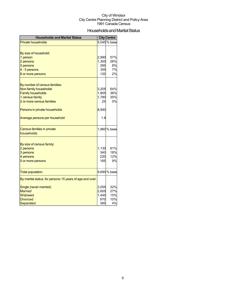## Households and Marital Status

| <b>Households and Marital Status</b>                     |       | <b>City Centre</b> |
|----------------------------------------------------------|-------|--------------------|
| <b>Private households</b>                                |       | 5,045% base        |
|                                                          |       |                    |
| By size of household:                                    |       |                    |
| 1 person                                                 | 2,890 | 57%                |
| 2 persons                                                | 1,300 | 26%                |
| 3 persons                                                | 395   | 8%                 |
| 4 - 5 persons                                            | 355   | 7%                 |
| 6 or more persons                                        | 120   | 2%                 |
|                                                          |       |                    |
| By number of census families:                            |       |                    |
| Non-family households                                    | 3,205 | 64%<br>36%         |
| <b>Family households</b>                                 | 1,805 | 35%                |
| 1 census family                                          | 1,780 |                    |
| 2 or more census families                                | 25    | 0%                 |
| Persons in private households                            | 8,940 |                    |
| Average persons per household                            | 1.8   |                    |
| <b>Census families in private</b>                        |       | 1,860 % base       |
| households                                               |       |                    |
|                                                          |       |                    |
| By size of census family:                                |       |                    |
| 2 persons                                                | 1,130 | 61%                |
| 3 persons                                                | 340   | 18%                |
| 4 persons                                                | 220   | 12%                |
| 5 or more persons                                        | 165   | 9%                 |
| <b>Total population</b>                                  |       | 9,690 % base       |
| By marital status, for persons 15 years of age and over: |       |                    |
| Single (never married)                                   | 3,055 | 32%                |
| <b>Married</b>                                           | 2,605 | 27%                |
| Widowed                                                  | 1,445 | 15%                |
| <b>Divorced</b>                                          | 970   | 10%                |
| Separated                                                | 385   | 4%                 |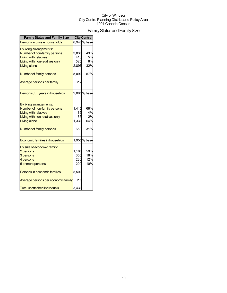## Family Status and Family Size

| <b>Family Status and Family Size</b> |       | <b>City Centre</b> |
|--------------------------------------|-------|--------------------|
| Persons in private households        |       | 8,940 % base       |
| By living arrangements:              |       |                    |
| Number of non-family persons         | 3,830 | 43%                |
| <b>Living with relatives</b>         | 410   | 5%                 |
| Living with non-relatives only       | 525   | 6%                 |
| Living alone                         | 2,895 | 32%                |
| Number of family persons             | 5,090 | 57%                |
| Average persons per family           | 2.7   |                    |
| Persons 65+ years in househlds       |       | 2,085 % base       |
|                                      |       |                    |
| By living arrangements:              |       |                    |
| Number of non-family persons         | 1,415 | 68%                |
| <b>Living with relatives</b>         | 85    | 4%                 |
| Living with non-relatives only       | 35    | 2%                 |
| Living alone                         | 1,330 | 64%                |
| Number of family persons             | 650   | 31%                |
| Economic families in househlds       |       | 1,955 % base       |
| By size of economic family:          |       |                    |
| 2 persons                            | 1,160 | 59%                |
| 3 persons                            | 355   | 18%                |
| 4 persons                            | 230   | 12%                |
| 5 or more persons                    | 200   | 10%                |
| Persons in economic families         | 5,500 |                    |
| Average persons per economic family  | 2.8   |                    |
| <b>Total unattached individuals</b>  | 3,430 |                    |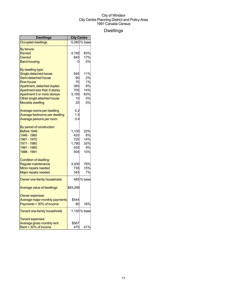## Dwellings

| Dwellings                                                                                                                                                                                                                                    | <b>City Centre</b>                                 |                                                 |
|----------------------------------------------------------------------------------------------------------------------------------------------------------------------------------------------------------------------------------------------|----------------------------------------------------|-------------------------------------------------|
| <b>Occupied dwellings</b>                                                                                                                                                                                                                    |                                                    | 5,060 % base                                    |
| By tenure:<br>Rented<br>Owned<br><b>Band housing</b>                                                                                                                                                                                         | 4,195<br>845<br>0                                  | 83%<br>17%<br>0%                                |
| By dwelling type:<br>Single-detached house<br>Semi-detached house<br><b>Row house</b><br>Apartment, detached duplex<br>Apartment less than 5 storey<br>Apartment 5 or more storeys<br>Other single attached house<br><b>Movable dwelling</b> | 545<br>90<br>70<br>385<br>705<br>3,195<br>10<br>25 | 11%<br>2%<br>1%<br>8%<br>14%<br>63%<br>0%<br>0% |
| Average rooms per dwelling<br>Average bedrooms per dwelling<br>Average persons per room                                                                                                                                                      | 4.2<br>1.5<br>0.4                                  |                                                 |
| By period of construction<br>Before 1946<br>1946 - 1960<br>1961 - 1970<br>1971 - 1980<br>1981 - 1985<br>1986 - 1991                                                                                                                          | 1,135<br>420<br>720<br>1,790<br>435<br>505         | 22%<br>8%<br>14%<br>35%<br>9%<br>10%            |
| Condition of dwelling:<br>Regular maintenance<br>Minor repairs needed<br><b>Major repairs needed</b>                                                                                                                                         | 3,930<br>735<br>345                                | 78%<br>15%<br>7%                                |
| Owner one-family households                                                                                                                                                                                                                  |                                                    | 485 % base                                      |
| <b>Average value of dwellings</b>                                                                                                                                                                                                            | \$83,289                                           |                                                 |
| Owner expenses:<br>Average major monthly payments<br>Payments > 30% of income                                                                                                                                                                | \$544<br>80                                        | 16%                                             |
| Tenant one-family households                                                                                                                                                                                                                 |                                                    | 1,150 % base                                    |
| Tenant expenses:<br>Average gross monthly rent<br>Rent > 30% of income                                                                                                                                                                       | \$567<br>470                                       | 41%                                             |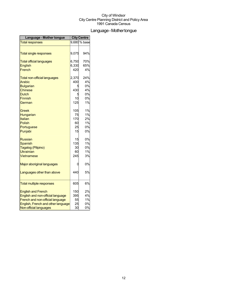## Language-Mothertongue

| Language - Mother tongue            | <b>City Centre</b> |                           |
|-------------------------------------|--------------------|---------------------------|
| <b>Total responses</b>              |                    | $\overline{9,680}$ % base |
|                                     |                    |                           |
| <b>Total single responses</b>       | 9,075              | 94%                       |
| <b>Total official languages</b>     | 6,750              | 70%                       |
| <b>English</b>                      | 6,330              | 65%                       |
| French                              | 420                | 4%                        |
| <b>Total non-official languages</b> | 2,370              | 24%                       |
| Arabic                              | 400                | 4%                        |
| <b>Bulgarian</b>                    |                    | 0%                        |
| <b>Chinese</b>                      | 430                | 4%                        |
| <b>Dutch</b>                        |                    | 0%                        |
| <b>Finnish</b>                      | 10                 | 0%                        |
| German                              | 125                | 1%                        |
| Greek                               | 105                | 1%                        |
| Hungarian                           | 75                 | 1%                        |
| Italian                             | 170                | 2%                        |
| <b>Polish</b>                       | 60                 | 1%                        |
| Portuguese                          | 25                 | 0%                        |
| Punjabi                             | 15                 | 0%                        |
| Russian                             | 15                 | 0%                        |
| <b>Spanish</b>                      | 135                | 1%                        |
| Tagalog (Pilipino)                  | 30                 | 0%                        |
| <b>Ukrainian</b>                    | 60                 | 1%                        |
| Vietnamese                          | 245                | 3%                        |
| Major aboriginal languages          | 0                  | 0%                        |
| Languages other than above          | 440                | 5%                        |
| <b>Total multiple responses</b>     | 605                | 6%                        |
|                                     |                    |                           |
| <b>English and French</b>           | 150                | 2%                        |
| English and non-official language   | 395                | 4%                        |
| French and non-official language    | 55                 | 1%                        |
| English, French and other language  | 25                 | 0%                        |
| Non-official languages              | 30                 | 0%                        |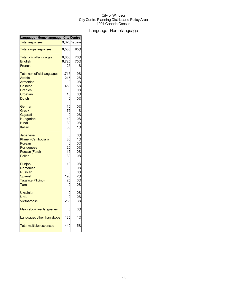## Language-Homelanguage

| Language - Home language City Centre |                                                                   |
|--------------------------------------|-------------------------------------------------------------------|
|                                      | 9,020 % base                                                      |
| 8,580                                | 95%                                                               |
| 6,850                                | 76%                                                               |
| 6,725                                | 75%                                                               |
| 125                                  | 1%                                                                |
| 1,715                                | 19%                                                               |
|                                      | 2%                                                                |
|                                      | 0%                                                                |
|                                      | 5%                                                                |
| C                                    | 0%                                                                |
|                                      | 0%                                                                |
| 0                                    | 0%                                                                |
| 10                                   | 0%                                                                |
|                                      | 1%                                                                |
| C                                    | 0%                                                                |
|                                      | 0%                                                                |
|                                      | 0%                                                                |
| 80                                   | 1%                                                                |
| C                                    | 0%                                                                |
|                                      | 1%                                                                |
| C                                    | 0%                                                                |
|                                      | 0%                                                                |
|                                      | 0%                                                                |
|                                      | 0%                                                                |
| 10                                   | 0%                                                                |
| C                                    | 0%                                                                |
|                                      | 0%                                                                |
| 190                                  | 2%                                                                |
| 25                                   | 0%                                                                |
| C                                    | 0%                                                                |
|                                      | 0%                                                                |
|                                      | 0%                                                                |
|                                      | 3%                                                                |
|                                      | 0%                                                                |
| 135                                  | 1%                                                                |
| 440                                  | 5%                                                                |
|                                      | 215<br>450<br>10<br>75<br>40<br>30<br>80<br>20<br>15<br>30<br>255 |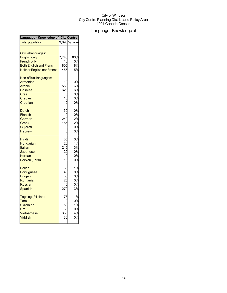## Language - Knowledge of

| 9,690 % base<br>7,740<br>80%<br>0%<br>10<br>805<br>8%<br>5%<br>455<br>0%<br>10<br>550<br>6%<br>625<br>6%<br>0%<br>0<br>0%<br><b>Creoles</b><br>10<br>0%<br>Croatian<br>10<br>0%<br>30<br>0%<br>240<br>2%<br>German<br>2%<br>155<br>0%<br>C<br>O<br>0%<br>0%<br>35<br>120<br>1%<br>245<br>3%<br>20<br>0%<br>0%<br>0<br>15<br>0%<br>1%<br>65<br>0%<br>40<br>35<br>0%<br>25<br>0%<br>0%<br>40<br>270<br>3%<br>1%<br>75<br>0%<br>Tamil<br>0<br>1%<br>Ukrainian<br>50<br>Urdu<br>35<br>0%<br>4%<br>355<br>30<br>0% | Language - Knowledge of City Centre |  |
|---------------------------------------------------------------------------------------------------------------------------------------------------------------------------------------------------------------------------------------------------------------------------------------------------------------------------------------------------------------------------------------------------------------------------------------------------------------------------------------------------------------|-------------------------------------|--|
|                                                                                                                                                                                                                                                                                                                                                                                                                                                                                                               | <b>Total population</b>             |  |
|                                                                                                                                                                                                                                                                                                                                                                                                                                                                                                               |                                     |  |
|                                                                                                                                                                                                                                                                                                                                                                                                                                                                                                               | <b>Official languages:</b>          |  |
|                                                                                                                                                                                                                                                                                                                                                                                                                                                                                                               | <b>English only</b>                 |  |
|                                                                                                                                                                                                                                                                                                                                                                                                                                                                                                               | <b>French only</b>                  |  |
|                                                                                                                                                                                                                                                                                                                                                                                                                                                                                                               | <b>Both English and French</b>      |  |
|                                                                                                                                                                                                                                                                                                                                                                                                                                                                                                               | <b>Neither English nor French</b>   |  |
|                                                                                                                                                                                                                                                                                                                                                                                                                                                                                                               | Non-official languages:             |  |
|                                                                                                                                                                                                                                                                                                                                                                                                                                                                                                               | Armenian                            |  |
|                                                                                                                                                                                                                                                                                                                                                                                                                                                                                                               | Arabic                              |  |
|                                                                                                                                                                                                                                                                                                                                                                                                                                                                                                               | <b>Chinese</b>                      |  |
|                                                                                                                                                                                                                                                                                                                                                                                                                                                                                                               | Cree                                |  |
|                                                                                                                                                                                                                                                                                                                                                                                                                                                                                                               |                                     |  |
|                                                                                                                                                                                                                                                                                                                                                                                                                                                                                                               |                                     |  |
|                                                                                                                                                                                                                                                                                                                                                                                                                                                                                                               | <b>Dutch</b>                        |  |
|                                                                                                                                                                                                                                                                                                                                                                                                                                                                                                               | <b>Finnish</b>                      |  |
|                                                                                                                                                                                                                                                                                                                                                                                                                                                                                                               |                                     |  |
|                                                                                                                                                                                                                                                                                                                                                                                                                                                                                                               | Greek                               |  |
|                                                                                                                                                                                                                                                                                                                                                                                                                                                                                                               | Gujarati                            |  |
|                                                                                                                                                                                                                                                                                                                                                                                                                                                                                                               | <b>Hebrew</b>                       |  |
|                                                                                                                                                                                                                                                                                                                                                                                                                                                                                                               | Hindi                               |  |
|                                                                                                                                                                                                                                                                                                                                                                                                                                                                                                               | Hungarian                           |  |
|                                                                                                                                                                                                                                                                                                                                                                                                                                                                                                               | Italian                             |  |
|                                                                                                                                                                                                                                                                                                                                                                                                                                                                                                               | Japanese                            |  |
|                                                                                                                                                                                                                                                                                                                                                                                                                                                                                                               | Korean                              |  |
|                                                                                                                                                                                                                                                                                                                                                                                                                                                                                                               | Persian (Farsi)                     |  |
|                                                                                                                                                                                                                                                                                                                                                                                                                                                                                                               | <b>Polish</b>                       |  |
|                                                                                                                                                                                                                                                                                                                                                                                                                                                                                                               | Portuguese                          |  |
|                                                                                                                                                                                                                                                                                                                                                                                                                                                                                                               | Punjabi                             |  |
|                                                                                                                                                                                                                                                                                                                                                                                                                                                                                                               | Romanian                            |  |
|                                                                                                                                                                                                                                                                                                                                                                                                                                                                                                               | <b>Russian</b>                      |  |
|                                                                                                                                                                                                                                                                                                                                                                                                                                                                                                               | Spanish                             |  |
|                                                                                                                                                                                                                                                                                                                                                                                                                                                                                                               | Tagalog (Pilipino)                  |  |
|                                                                                                                                                                                                                                                                                                                                                                                                                                                                                                               |                                     |  |
|                                                                                                                                                                                                                                                                                                                                                                                                                                                                                                               |                                     |  |
|                                                                                                                                                                                                                                                                                                                                                                                                                                                                                                               |                                     |  |
|                                                                                                                                                                                                                                                                                                                                                                                                                                                                                                               | Vietnamese                          |  |
|                                                                                                                                                                                                                                                                                                                                                                                                                                                                                                               | Yiddish                             |  |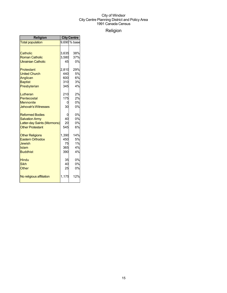## Religion

| Religion                    | <b>City Centre</b> |              |
|-----------------------------|--------------------|--------------|
| <b>Total population</b>     |                    | 9,690 % base |
|                             |                    |              |
| Catholic                    | 3,635              | 38%          |
| <b>Roman Catholic</b>       | 3,580              | 37%          |
| <b>Ukrainian Catholic</b>   | 45                 | 0%           |
| <b>Protestant</b>           | 2,810              | 29%          |
| <b>United Church</b>        | 440                | 5%           |
| Anglican                    | 600                | 6%           |
| <b>Baptist</b>              | 310                | 3%           |
| Presbyterian                | 345                | 4%           |
| Lutheran                    | 210                | 2%           |
| Pentecostal                 | 175                | 2%           |
| <b>Mennonite</b>            | 0                  | 0%           |
| <b>Jehovah's Witnesses</b>  | 30                 | 0%           |
| <b>Reformed Bodies</b>      | 0                  | 0%           |
| <b>Salvation Army</b>       | 40                 | 0%           |
| Latter-day Saints (Mormons) | 20                 | 0%           |
| <b>Other Protestant</b>     | 545                | 6%           |
| <b>Other Religions</b>      | 1,390              | 14%          |
| <b>Eastern Orthodox</b>     | 450                | 5%           |
| Jewish                      | 75                 | 1%           |
| Islam                       | 365                | 4%           |
| <b>Buddhist</b>             | 390                | 4%           |
| Hindu                       | 35                 | 0%           |
| <b>Sikh</b>                 | 40                 | 0%           |
| Other                       | 25                 | 0%           |
| No religious affiliation    | 1,175              | 12%          |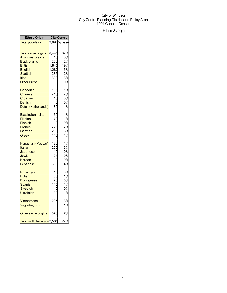## EthnicOrigin

| <b>Ethnic Origin</b>         | <b>City Centre</b> |              |
|------------------------------|--------------------|--------------|
| <b>Total population</b>      |                    | 9,690 % base |
| <b>Total single origins</b>  | 6,445              | 67%          |
| <b>Aboriginal origins</b>    | 10                 | 0%           |
| <b>Black origins</b>         | 200                | 2%           |
| <b>British</b>               | 1,845              | 19%          |
| English                      | 1,280              | 13%          |
| Scottish                     | 235                | 2%           |
| Irish                        | 300l               | 3%           |
| <b>Other British</b>         | 0                  | 0%           |
| Canadian                     | 105                | 1%           |
| <b>Chinese</b>               | 715                | 7%           |
| Croatian                     | 10                 | 0%           |
| Danish                       | 0                  | 0%           |
| Dutch (Netherlands)          | 80                 | 1%           |
| East Indian, n.i.e.          | 60                 | 1%           |
| Filipino                     | 70                 | 1%           |
| <b>Finnish</b>               | 0                  | 0%           |
| French                       | 725                | 7%           |
| German                       | 250                | 3%           |
| Greek                        | 140                | 1%           |
| Hungarian (Magyar)           | 130                | 1%           |
| Italian                      | 255                | 3%           |
| Japanese                     | 10                 | 0%           |
| Jewish                       | 25                 | 0%           |
| Korean                       | 10                 | 0%           |
| Lebanese                     | 360                | 4%           |
| Norwegian                    | 10                 | 0%           |
| Polish                       | 65                 | 1%           |
| Portuguese                   | 20                 | 0%           |
| Spanish                      | 145                | 1%           |
| Swedish                      | 0                  | 0%           |
| Ukrainian                    | 100                | 1%           |
| <b>Vietnamese</b>            | 295                | 3%           |
| Yugoslav, n.i.e.             | 90                 | 1%           |
| Other single origins         | 670                | 7%           |
| Total multiple origins 2,585 |                    | 27%          |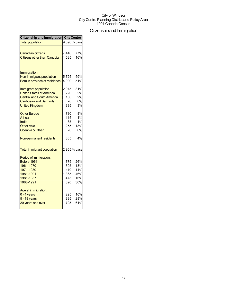## Citizenship and Immigration

| 9,690 % base<br>77%<br>7,440<br><b>Canadian citizens</b><br>1,585<br><b>Citizens other than Canadian</b><br>16%<br>Immigration:<br>5,725<br>59%<br>Non-immigrant population<br>Born in province of residence<br>4,990<br>51%<br>31%<br>2,975<br>2%<br>220<br>160<br>2%<br>0%<br>Caribbean and Bermuda<br>20<br>335<br>3%<br><b>United Kingdom</b><br>8%<br>780<br><b>Other Europe</b><br>1%<br>115<br>1%<br>India<br>85<br>1,255<br><b>Other Asia</b><br>13%<br>Oceania & Other<br>20<br>4%<br>365<br>2,955 % base<br>Period of immigration:<br>775<br>26%<br>1961-1970<br>395<br>13%<br>1971-1980<br>410<br>14%<br>1981-1991<br>1,365<br>475<br>16%<br>1981-1987<br>30%<br>1988-1991<br>890<br>295<br>835<br>28%<br>1,795 | Citizenship and Immigration City Centre |     |
|----------------------------------------------------------------------------------------------------------------------------------------------------------------------------------------------------------------------------------------------------------------------------------------------------------------------------------------------------------------------------------------------------------------------------------------------------------------------------------------------------------------------------------------------------------------------------------------------------------------------------------------------------------------------------------------------------------------------------|-----------------------------------------|-----|
|                                                                                                                                                                                                                                                                                                                                                                                                                                                                                                                                                                                                                                                                                                                            | <b>Total population</b>                 |     |
|                                                                                                                                                                                                                                                                                                                                                                                                                                                                                                                                                                                                                                                                                                                            |                                         |     |
|                                                                                                                                                                                                                                                                                                                                                                                                                                                                                                                                                                                                                                                                                                                            |                                         |     |
|                                                                                                                                                                                                                                                                                                                                                                                                                                                                                                                                                                                                                                                                                                                            |                                         |     |
|                                                                                                                                                                                                                                                                                                                                                                                                                                                                                                                                                                                                                                                                                                                            |                                         |     |
|                                                                                                                                                                                                                                                                                                                                                                                                                                                                                                                                                                                                                                                                                                                            |                                         |     |
|                                                                                                                                                                                                                                                                                                                                                                                                                                                                                                                                                                                                                                                                                                                            |                                         |     |
|                                                                                                                                                                                                                                                                                                                                                                                                                                                                                                                                                                                                                                                                                                                            |                                         |     |
|                                                                                                                                                                                                                                                                                                                                                                                                                                                                                                                                                                                                                                                                                                                            | Immigrant population                    |     |
|                                                                                                                                                                                                                                                                                                                                                                                                                                                                                                                                                                                                                                                                                                                            | <b>United States of America</b>         |     |
|                                                                                                                                                                                                                                                                                                                                                                                                                                                                                                                                                                                                                                                                                                                            | <b>Central and South America</b>        |     |
|                                                                                                                                                                                                                                                                                                                                                                                                                                                                                                                                                                                                                                                                                                                            |                                         |     |
|                                                                                                                                                                                                                                                                                                                                                                                                                                                                                                                                                                                                                                                                                                                            |                                         |     |
|                                                                                                                                                                                                                                                                                                                                                                                                                                                                                                                                                                                                                                                                                                                            |                                         |     |
|                                                                                                                                                                                                                                                                                                                                                                                                                                                                                                                                                                                                                                                                                                                            | Africa                                  |     |
|                                                                                                                                                                                                                                                                                                                                                                                                                                                                                                                                                                                                                                                                                                                            |                                         |     |
|                                                                                                                                                                                                                                                                                                                                                                                                                                                                                                                                                                                                                                                                                                                            |                                         |     |
|                                                                                                                                                                                                                                                                                                                                                                                                                                                                                                                                                                                                                                                                                                                            |                                         | 0%  |
|                                                                                                                                                                                                                                                                                                                                                                                                                                                                                                                                                                                                                                                                                                                            | Non-permanent residents                 |     |
|                                                                                                                                                                                                                                                                                                                                                                                                                                                                                                                                                                                                                                                                                                                            | <b>Total immigrant population</b>       |     |
|                                                                                                                                                                                                                                                                                                                                                                                                                                                                                                                                                                                                                                                                                                                            |                                         |     |
|                                                                                                                                                                                                                                                                                                                                                                                                                                                                                                                                                                                                                                                                                                                            | Before 1961                             |     |
|                                                                                                                                                                                                                                                                                                                                                                                                                                                                                                                                                                                                                                                                                                                            |                                         |     |
|                                                                                                                                                                                                                                                                                                                                                                                                                                                                                                                                                                                                                                                                                                                            |                                         |     |
|                                                                                                                                                                                                                                                                                                                                                                                                                                                                                                                                                                                                                                                                                                                            |                                         | 46% |
|                                                                                                                                                                                                                                                                                                                                                                                                                                                                                                                                                                                                                                                                                                                            |                                         |     |
|                                                                                                                                                                                                                                                                                                                                                                                                                                                                                                                                                                                                                                                                                                                            |                                         |     |
|                                                                                                                                                                                                                                                                                                                                                                                                                                                                                                                                                                                                                                                                                                                            | Age at immigration:                     |     |
|                                                                                                                                                                                                                                                                                                                                                                                                                                                                                                                                                                                                                                                                                                                            | $0 - 4$ years                           | 10% |
|                                                                                                                                                                                                                                                                                                                                                                                                                                                                                                                                                                                                                                                                                                                            | $5 - 19$ years                          |     |
|                                                                                                                                                                                                                                                                                                                                                                                                                                                                                                                                                                                                                                                                                                                            | 20 years and over                       | 61% |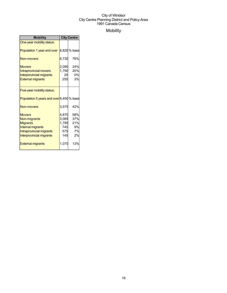## Mobility

| <b>Mobility</b>                                                                                                               | <b>City Centre</b>                  |                                           |
|-------------------------------------------------------------------------------------------------------------------------------|-------------------------------------|-------------------------------------------|
| One-year mobility status:                                                                                                     |                                     |                                           |
| Population 1 year and over                                                                                                    |                                     | 8,820 % base                              |
| Non-movers                                                                                                                    | 6,730                               | 76%                                       |
| <b>Movers</b><br>Intraprovincial movers<br><b>Interprovincial migrants</b><br><b>External migrants</b>                        | 2,090<br>20<br>255                  | 24%<br>1,790 20%<br>0%<br>3%              |
| Five-year mobility status:                                                                                                    |                                     |                                           |
| Population 5 years and over 8,450 % base                                                                                      |                                     |                                           |
| Non-movers                                                                                                                    | 3,575                               | 42%                                       |
| <b>Movers</b><br>Non-migrants<br><b>Migrants</b><br>Internal migrants<br>Intraprovincial migrants<br>Interprovincial migrants | 4,870<br>1,795<br>745<br>575<br>145 | 58%<br>3,085 37%<br>21%<br>9%<br>7%<br>2% |
| <b>External migrants</b>                                                                                                      | 1,070                               | 13%                                       |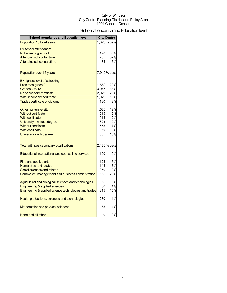## School attendance and Education level

| <b>School attendance and Education level</b>          |       | <b>City Centre</b> |
|-------------------------------------------------------|-------|--------------------|
| Population 15 to 24 years                             |       | 1,320 % base       |
| By school attendance:                                 |       |                    |
| Not attending school                                  | 470   | 36%                |
| <b>Attending school full time</b>                     | 755   | 57%                |
| Attending school part time                            | 85    | 6%                 |
| Population over 15 years                              |       | 7,910 % base       |
| By highest level of schooling:                        |       |                    |
| Less than grade 9                                     | 1,560 | 20%                |
| Grades 9 to 13                                        | 3,045 | 38%                |
| No secondary certificate                              | 2,025 | 26%                |
| With secondary certificate                            | 1,020 | 13%                |
| Trades certificate or diploma                         | 130   | 2%                 |
| Other non-university                                  | 1,530 | 19%                |
| <b>Without certificate</b>                            | 615   | 8%                 |
| <b>With certificate</b>                               | 915   | 12%                |
| University - without degree                           | 825   | 10%                |
| <b>Without certificate</b>                            | 555   | 7%                 |
| <b>With certificate</b>                               | 270   | 3%                 |
| University - with degree                              | 805   | 10%                |
| Total with postsecondary qualifications               |       | 2,130 % base       |
| Educational, recreational and counselling services    | 190   | 9%                 |
| Fine and applied arts                                 | 125   | 6%                 |
| <b>Humanities and related</b>                         | 145   | 7%                 |
| Social sciences and related                           | 250   | 12%                |
| Commerce, management and business administration      | 555   | 26%                |
| Agricultural and biological sciences and technologies | 55    | 3%                 |
| Engineering & applied sciences                        | 80    | 4%                 |
| Engineering & applied science technologies and trades | 315   | 15%                |
| Health professions, sciences and technologies         | 230   | 11%                |
| Mathematics and physical sciences                     | 75    | 4%                 |
| None and all other                                    | 0     | 0%                 |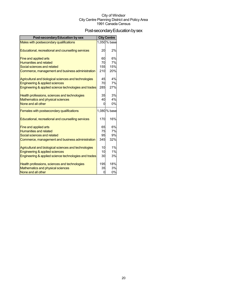## Post-secondary Education by sex

| <b>Post-secondary Education by sex</b>                |     | <b>City Centre</b> |
|-------------------------------------------------------|-----|--------------------|
| Males with postsecondary qualifications               |     | 1,050 % base       |
|                                                       |     |                    |
| Educational, recreational and counselling services    | 20  | 2%                 |
| Fine and applied arts                                 | 60  | 6%                 |
| <b>Humanities and related</b>                         | 70  | 7%                 |
| Social sciences and related                           | 155 | 15%                |
| Commerce, management and business administration      | 210 | 20%                |
| Agricultural and biological sciences and technologies | 45  | 4%                 |
| <b>Engineering &amp; applied sciences</b>             | 70  | 7%                 |
| Engineering & applied science technologies and trades | 285 | 27%                |
| Health professions, sciences and technologies         | 35  | 3%                 |
| Mathematics and physical sciences                     | 40  | 4%                 |
| None and all other                                    | 0   | 0%                 |
| Females with postsecondary qualifications             |     | 1,080 % base       |
| Educational, recreational and counselling services    | 170 | 16%                |
| Fine and applied arts                                 | 65  | 6%                 |
| <b>Humanities and related</b>                         | 75  | 7%                 |
| Social sciences and related                           | 95  | 9%                 |
| Commerce, management and business administration      | 345 | 32%                |
| Agricultural and biological sciences and technologies | 10  | 1%                 |
| Engineering & applied sciences                        | 10  | 1%                 |
| Engineering & applied science technologies and trades | 30  | 3%                 |
| Health professions, sciences and technologies         | 195 | 18%                |
| Mathematics and physical sciences                     | 35  | 3%                 |
| None and all other                                    | 0   | 0%                 |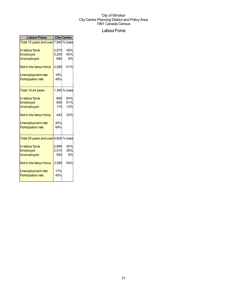## Labour Force

| <b>Labour Force</b>                  | <b>City Centre</b> |              |  |
|--------------------------------------|--------------------|--------------|--|
| Total 15 years and over 7,940 % base |                    |              |  |
| In labour force                      | 3,870              | 49%          |  |
| Employed                             | 3,205              | 40%          |  |
| <b>Unemployed</b>                    | 680                | 9%           |  |
| Not in the labour force              | 4,080              | 51%          |  |
| <b>Unemployment rate</b>             | 18%                |              |  |
| <b>Participation rate</b>            | 49%                |              |  |
| Total 15-24 years                    |                    | 1,350 % base |  |
| In labour force                      | 865                | 64%          |  |
| Employed                             | 690                | 51%          |  |
| <b>Unemployed</b>                    | 175                | 13%          |  |
| Not in the labour force              | 440                | 33%          |  |
| Unemployment rate                    | 20%                |              |  |
| <b>Participation rate</b>            | 64%                |              |  |
| Total 25 years and over 6,600 % base |                    |              |  |
| In labour force                      | 2,985              | 45%          |  |
| Employed                             | 2,510              | 38%          |  |
| <b>Unemployed</b>                    | 500                | 8%           |  |
| Not in the labour force              | 3,595              | 54%          |  |
| Unemployment rate                    | 17%                |              |  |
| <b>Participation rate</b>            | 45%                |              |  |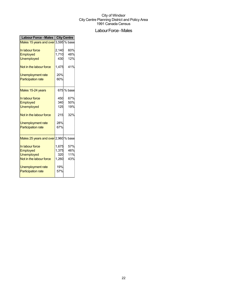## Labour Force - Males

| <b>Labour Force - Males</b>          |       | <b>City Centre</b> |
|--------------------------------------|-------|--------------------|
| Males 15 years and over 3,595 % base |       |                    |
| In labour force                      | 2,140 | 60%                |
| Employed                             | 1,710 | 48%                |
| <b>Unemployed</b>                    | 430   | 12%                |
| Not in the labour force              | 1,475 | 41%                |
| Unemployment rate                    | 20%   |                    |
| <b>Participation rate</b>            | 60%   |                    |
| Males 15-24 years                    |       | 675 % base         |
| In labour force                      | 450   | 67%                |
| Employed                             | 340   | 50%                |
| <b>Unemployed</b>                    | 125   | 19%                |
| Not in the labour force              | 215   | 32%                |
| <b>Unemployment rate</b>             | 28%   |                    |
| <b>Participation rate</b>            | 67%   |                    |
| Males 25 years and over 2,960 % base |       |                    |
| In labour force                      | 1,675 | 57%                |
| Employed                             | 1,375 | 46%                |
| <b>Unemployed</b>                    | 320   | 11%                |
| Not in the labour force              | 1,260 | 43%                |
| Unemployment rate                    | 19%   |                    |
| <b>Participation rate</b>            | 57%   |                    |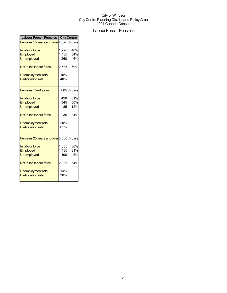## Labour Force - Females

| Labour Force - Females   City Centre   |       |            |  |
|----------------------------------------|-------|------------|--|
| Females 15 years and over 4,320 % base |       |            |  |
|                                        |       |            |  |
| In labour force                        | 1,720 | 40%        |  |
| Employed                               | 1,480 | 34%        |  |
| <b>Unemployed</b>                      | 260   | 6%         |  |
| Not in the labour force                | 2,585 | 60%        |  |
| <b>Unemployment rate</b>               | 15%   |            |  |
| <b>Participation rate</b>              | 40%   |            |  |
| Females 15-24 years                    |       | 685 % base |  |
| In labour force                        | 420   | 61%        |  |
| Employed                               | 345   | 50%        |  |
| <b>Unemployed</b>                      | 85    | 12%        |  |
| Not in the labour force                | 235   | 34%        |  |
| Unemployment rate                      | 20%   |            |  |
| <b>Participation rate</b>              | 61%   |            |  |
| Females 25 years and over 3,660 % base |       |            |  |
| In labour force                        | 1,335 | 36%        |  |
| Employed                               | 1,130 | 31%        |  |
| <b>Unemployed</b>                      | 190   | <b>5%</b>  |  |
| Not in the labour force                | 2,335 | 64%        |  |
| <b>Unemployment rate</b>               | 14%   |            |  |
| <b>Participation rate</b>              | 36%   |            |  |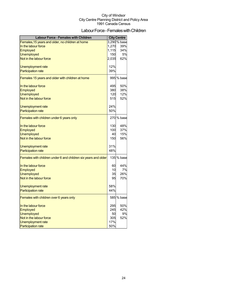## Labour Force - Females with Children

| <b>Labour Force - Females with Children</b>                    |       | <b>City Centre</b> |
|----------------------------------------------------------------|-------|--------------------|
| Females, 15 years and older, no children at home               |       | 3,290 % base       |
| In the labour force                                            | 1,270 | 39%                |
| Employed                                                       | 1,115 | 34%                |
| <b>Unemployed</b>                                              | 150   | 5%                 |
| Not in the labour force                                        | 2,035 | 62%                |
| Unemployment rate                                              | 12%   |                    |
| <b>Participation rate</b>                                      | 39%   |                    |
| Females 15 years and older with children at home               |       | 995 % base         |
| In the labour force                                            | 495   | 50%                |
| Employed                                                       | 380   | 38%                |
| <b>Unemployed</b>                                              | 120   | 12%                |
| Not in the labour force                                        | 515   | 52%                |
| Unemployment rate                                              | 24%   |                    |
| <b>Participation rate</b>                                      | 50%   |                    |
| Females with children under 6 years only                       |       | 270 % base         |
| In the labour force                                            | 130   | 48%                |
| Employed                                                       | 100   | 37%                |
| <b>Unemployed</b>                                              | 40    | 15%                |
| Not in the labour force                                        | 150   | 56%                |
| Unemployment rate                                              | 31%   |                    |
| <b>Participation rate</b>                                      | 48%   |                    |
| Females with children under 6 and children six years and older |       | 135 % base         |
| In the labour force                                            | 60    | 44%                |
| Employed                                                       | 10    | 7%                 |
| <b>Unemployed</b>                                              | 35    | 26%                |
| Not in the labour force                                        | 95    | 70%                |
| Unemployment rate                                              | 58%   |                    |
| <b>Participation rate</b>                                      | 44%   |                    |
| Females with children over 6 years only                        |       | 585 % base         |
| In the labour force                                            | 295   | 50%                |
| Employed                                                       | 245   | 42%                |
| <b>Unemployed</b>                                              | 50    | 9%                 |
| Not in the labour force                                        | 305   | 52%                |
| <b>Unemployment rate</b>                                       | 17%   |                    |
| <b>Participation rate</b>                                      | 50%   |                    |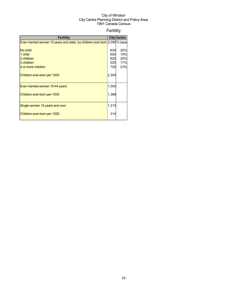## Fertility

| <b>Fertility</b>                                                          |       | <b>City Centre</b> |
|---------------------------------------------------------------------------|-------|--------------------|
| Ever-married women 15 years and older, by children ever born 3,095 % base |       |                    |
|                                                                           |       |                    |
| No child                                                                  | 630   | 20%                |
| 1 child                                                                   | 600   | 19%                |
| 2 children                                                                | 620   | 20%                |
| 3 children                                                                | 525   | 17%                |
| 4 or more children                                                        | 725   | 23%                |
| Children ever-born per 1000                                               | 2,354 |                    |
| Ever-married women 15-44 years                                            | 1,000 |                    |
| Children ever-born per 1000                                               | 1,388 |                    |
| Single women 15 years and over                                            | 1,215 |                    |
| Children ever-born per 1000                                               | 314   |                    |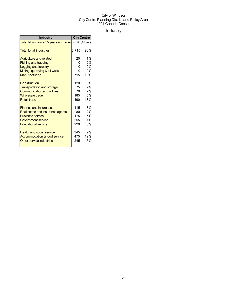## Industry

| <b>Industry</b>                                    | <b>City Centre</b> |     |
|----------------------------------------------------|--------------------|-----|
| Total labour force 15 years and older 3,870 % base |                    |     |
| <b>Total for all industries</b>                    | 3,715              | 96% |
| <b>Agriculture and related</b>                     | 20                 | 1%  |
| <b>Fishing and trapping</b>                        |                    | 0%  |
| <b>Logging and forestry</b>                        |                    | 0%  |
| Mining, quarrying & oil wells                      |                    | 0%  |
| Manufacturing                                      | 715                | 18% |
| Construction                                       | 120                | 3%  |
| <b>Transportation and storage</b>                  | 75                 | 2%  |
| <b>Communication and utilities</b>                 | 70                 | 2%  |
| <b>Wholesale trade</b>                             | 185                | 5%  |
| <b>Retail trade</b>                                | 490                | 13% |
| <b>Finance and insurance</b>                       | 115                | 3%  |
| Real estate and insurance agents                   | 80                 | 2%  |
| <b>Business service</b>                            | 175                | 5%  |
| Government service                                 | 255                | 7%  |
| <b>Educational service</b>                         | 220                | 6%  |
| <b>Health and social service</b>                   | 345                | 9%  |
| Accommodation & food service                       | 475                | 12% |
| Other service industries                           | 245                | 6%  |
|                                                    |                    |     |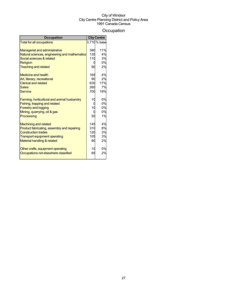## **Occupation**

| <b>Occupation</b>                             |     | <b>City Centre</b> |
|-----------------------------------------------|-----|--------------------|
| <b>Total for all occupations</b>              |     | 3,710 % base       |
|                                               |     |                    |
| <b>Managerial and administrative</b>          | 390 | 11%                |
| Natural sciences, engineering and mathematics | 135 | 4%                 |
| Social sciences & related                     | 110 | 3%                 |
| <b>Religion</b>                               | 0   | 0%                 |
| <b>Teaching and related</b>                   | 90  | 2%                 |
| Medicine and health                           | 165 | 4%                 |
| Art, literary, recreational                   | 90  | 2%                 |
| <b>Clerical and related</b>                   | 630 | 17%                |
| <b>Sales</b>                                  | 260 | 7%                 |
| <b>Service</b>                                | 700 | 19%                |
| Farming, horticultural and animal husbandry   | 10  | 0%                 |
| Fishing, trapping and related                 | 0   | 0%                 |
| <b>Forestry and logging</b>                   | 10  | 0%                 |
| Mining, quarrying, oil & gas                  | 0   | 0%                 |
| Processing                                    | 50  | 1%                 |
| <b>Machining and related</b>                  | 145 | 4%                 |
| Product fabricating, assembly and repairing   | 310 | 8%                 |
| <b>Construction trades</b>                    | 120 | 3%                 |
| <b>Transport equipment operating</b>          | 105 | 3%                 |
| Material handling & related                   | 80  | 2%                 |
| Other crafts, equipment operating             | 10  | 0%                 |
| Occupations not elsewhere classified          | 85  | 2%                 |
|                                               |     |                    |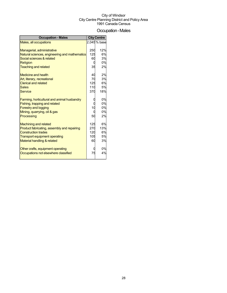## Occupation-Males

| <b>Occupation - Males</b>                     |     | <b>City Centre</b> |
|-----------------------------------------------|-----|--------------------|
| Males, all occupations                        |     | 2,045 % base       |
|                                               |     |                    |
| Managerial, administrative                    | 250 | 12%                |
| Natural sciences, engineering and mathematics | 125 | 6%                 |
| Social sciences & related                     | 60  | 3%                 |
| Religion                                      |     | 0%                 |
| <b>Teaching and related</b>                   | 35  | 2%                 |
| <b>Medicine and health</b>                    | 40  | 2%                 |
| Art, literary, recreational                   | 70  | 3%                 |
| <b>Clerical and related</b>                   | 125 | 6%                 |
| <b>Sales</b>                                  | 110 | 5%                 |
| <b>Service</b>                                | 370 | 18%                |
| Farming, horticultural and animal husbandry   |     | 0%                 |
| Fishing, trapping and related                 |     | 0%                 |
| <b>Forestry and logging</b>                   | 10  | 0%                 |
| Mining, quarrying, oil & gas                  |     | 0%                 |
| Processing                                    | 50  | 2%                 |
| <b>Machining and related</b>                  | 125 | 6%                 |
| Product fabricating, assembly and repairing   | 270 | 13%                |
| <b>Construction trades</b>                    | 120 | 6%                 |
| <b>Transport equipment operating</b>          | 105 | 5%                 |
| Material handling & related                   | 60  | 3%                 |
| Other crafts, equipment operating             |     | 0%                 |
| Occupations not elsewhere classified          | 75  | 4%                 |
|                                               |     |                    |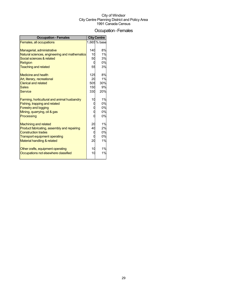## Occupation-Females

| <b>Occupation - Females</b>                   |     | <b>City Centre</b> |
|-----------------------------------------------|-----|--------------------|
| Females, all occupations                      |     | 1,665 % base       |
|                                               |     |                    |
| Managerial, administrative                    | 140 | 8%                 |
| Natural sciences, engineering and mathematics | 10  | 1%                 |
| Social sciences & related                     | 50  | 3%                 |
| <b>Religion</b>                               |     | 0%                 |
| <b>Teaching and related</b>                   | 55  | 3%                 |
| <b>Medicine and health</b>                    | 125 | 8%                 |
| Art, literary, recreational                   | 20  | 1%                 |
| <b>Clerical and related</b>                   | 505 | 30%                |
| <b>Sales</b>                                  | 150 | 9%                 |
| <b>Service</b>                                | 330 | 20%                |
|                                               |     |                    |
| Farming, horticultural and animal husbandry   | 10  | 1%                 |
| Fishing, trapping and related                 |     | 0%                 |
| <b>Forestry and logging</b>                   |     | 0%                 |
| Mining, quarrying, oil & gas                  |     | 0%                 |
| Processing                                    |     | 0%                 |
| <b>Machining and related</b>                  | 20  | 1%                 |
| Product fabricating, assembly and repairing   | 40  | 2%                 |
| <b>Construction trades</b>                    |     | 0%                 |
| <b>Transport equipment operating</b>          |     | 0%                 |
| Material handling & related                   | 20  | 1%                 |
|                                               |     |                    |
| Other crafts, equipment operating             | 10  | 1%                 |
| Occupations not elsewhere classified          | 10  | 1%                 |
|                                               |     |                    |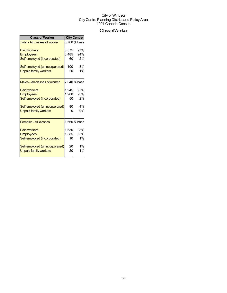## ClassofWorker

| <b>Class of Worker</b>               | <b>City Centre</b> |              |  |
|--------------------------------------|--------------------|--------------|--|
| <b>Total - All classes of worker</b> |                    | 3,700 % base |  |
| <b>Paid workers</b>                  | 3,575              | 97%          |  |
| <b>Employees</b>                     | 3,485              | 94%          |  |
| Self-employed (incorporated)         | 60                 | 2%           |  |
| Self-employed (unincorporated)       | 100                | 3%           |  |
| <b>Unpaid family workers</b>         | 20                 | 1%           |  |
| Males - All classes of worker        |                    | 2,040 % base |  |
| <b>Paid workers</b>                  | 1.945              | 95%          |  |
| <b>Employees</b>                     | 1,900              | 93%          |  |
| Self-employed (incorporated)         | 50                 | 2%           |  |
| Self-employed (unincorporated)       | 80                 | 4%           |  |
| <b>Unpaid family workers</b>         |                    | 0%           |  |
| <b>Females - All classes</b>         |                    | 1,660 % base |  |
| <b>Paid workers</b>                  | 1,630              | 98%          |  |
| <b>Employees</b>                     | 1,585              | 95%          |  |
| Self-employed (incorporated)         | 10                 | 1%           |  |
| Self-employed (unincorporated)       | 20                 | 1%           |  |
| <b>Unpaid family workers</b>         | 20                 | 1%           |  |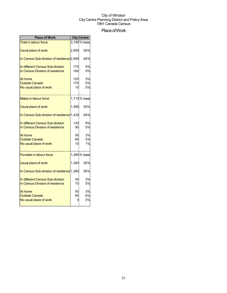## Place of Work

| <b>Place of Work</b>                                                |                  | <b>City Centre</b> |
|---------------------------------------------------------------------|------------------|--------------------|
| <b>Total in labour force</b>                                        |                  | $3,195\,\%$ base   |
| Usual place of work:                                                | 2,955            | 92%                |
| In Census Sub-division of residence 2,695                           |                  | 84%                |
| In different Census Sub-division<br>In Census Division of residence | 175<br>160       | 5%<br>5%           |
| At home<br><b>Outside Canada</b><br>No usual place of work          | 100<br>175<br>10 | 3%<br>5%<br>0%     |
| <b>Males in labour force</b>                                        |                  | 1,715% base        |
| Usual place of work:                                                | 1.590            | 93%                |
| In Census Sub-division of residence 1,435                           |                  | 84%                |
| In different Census Sub-division<br>In Census Division of residence | 130<br>90        | 8%<br>5%           |
| At home<br><b>Outside Canada</b><br>No usual place of work          | 50<br>85<br>10   | 3%<br>5%<br>1%     |
| <b>Females in labour force</b>                                      |                  | 1,480 % base       |
| Usual place of work:                                                | 1,365            | 92%                |
| In Census Sub-division of residence 1,260                           |                  | 85%                |
| In different Census Sub-division<br>In Census Division of residence | 45<br>70         | 3%<br>5%           |
| At home<br><b>Outside Canada</b><br>No usual place of work          | 50<br>90<br>0    | 3%<br>6%<br>0%     |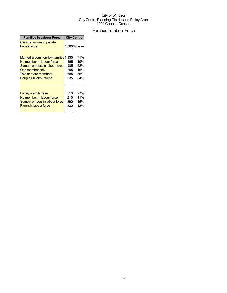## Families in Labour Force

| <b>Families in Labour Force</b>                                                                                                                                              | <b>City Centre</b>              |                                        |  |
|------------------------------------------------------------------------------------------------------------------------------------------------------------------------------|---------------------------------|----------------------------------------|--|
| Census families in private<br>households                                                                                                                                     |                                 | 1,880% base                            |  |
| Married & common-law families 1,335<br>No member in labour force<br>Some members in labour force<br>One member only<br>Two or more members<br><b>Couples in labour force</b> | 365<br>985<br>295<br>685<br>635 | 71%<br>19%<br>52%<br>16%<br>36%<br>34% |  |
| Lone-parent families<br>No member in labour force<br>Some members in labour force<br>Parent in labour force                                                                  | 510<br>215<br>290<br>230        | 27%<br>11%<br>15%<br>12%               |  |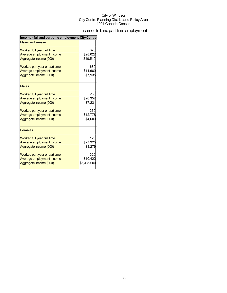## Income - full and part-time employment

| Income - full and part-time employment City Centre |             |
|----------------------------------------------------|-------------|
| <b>Males and females</b>                           |             |
| Worked full year, full time                        | 375         |
| Average employment income                          | \$28,027    |
| Aggregate income (000)                             | \$10,510    |
| Worked part year or part time                      | 680         |
| Average employment income                          | \$11,669    |
| Aggregate income (000)                             | \$7,935     |
| <b>Males</b>                                       |             |
| Worked full year, full time                        | 255         |
| Average employment income                          | \$28,357    |
| Aggregate income (000)                             | \$7,231     |
| Worked part year or part time                      | 360         |
| Average employment income                          | \$12,778    |
| Aggregate income (000)                             | \$4,600     |
| <b>Females</b>                                     |             |
| Worked full year, full time                        | 120         |
| Average employment income                          | \$27,325    |
| Aggregate income (000)                             | \$3,279     |
| Worked part year or part time                      | 320         |
| Average employment income                          | \$10,422    |
| Aggregate income (000)                             | \$3,335,000 |
|                                                    |             |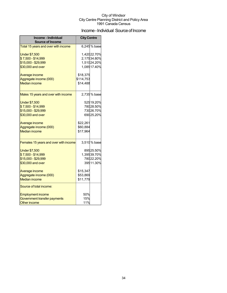## Income - Individual Source of Income

| Income - Individual<br><b>Source of Income</b> | <b>City Centre</b> |                            |
|------------------------------------------------|--------------------|----------------------------|
| Total 15 years and over with income            |                    | 6,245% base                |
| <b>Under \$7,500</b><br>\$7,500 - \$14,999     |                    | 1,42022.70%<br>2,17534.80% |
| \$15,000 - \$29,999                            |                    | 1,51024.20%                |
| \$30,000 and over                              |                    | 1,08517.40%                |
| Average income                                 | \$18,375           |                            |
| Aggregate income (000)                         | \$114,753          |                            |
| <b>Median income</b>                           | \$14,488           |                            |
| Males 15 years and over with income            |                    | 2,735% base                |
| <b>Under \$7,500</b>                           |                    | 525 19.20%                 |
| \$7,500 - \$14,999                             |                    | 78028.50%                  |
| \$15,000 - \$29,999                            |                    | 73026.70%                  |
| \$30,000 and over                              |                    | 69025.20%                  |
| Average income                                 | \$22,261           |                            |
| Aggregate income (000)                         | \$60,884           |                            |
| <b>Median income</b>                           | \$17,964           |                            |
| Females 15 years and over with income          |                    | 3,510% base                |
| <b>Under \$7,500</b>                           |                    | 89525.50%                  |
| \$7,500 - \$14,999                             |                    | 1,39539.70%                |
| \$15,000 - \$29,999                            |                    | 78022.20%                  |
| \$30,000 and over                              |                    | 39511.30%                  |
| Average income                                 | \$15,347           |                            |
| Aggregate income (000)                         | \$53,869           |                            |
| <b>Median income</b>                           | \$11,779           |                            |
| Source of total income:                        |                    |                            |
| <b>Employment income</b>                       | 50%                |                            |
| Government transfer payments                   | 15%                |                            |
| <b>Other income</b>                            | 11%                |                            |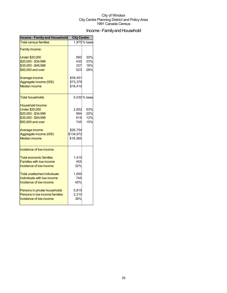## Income - Family and Household

| <b>Income - Family and Household</b> | <b>City Centre</b> |              |  |
|--------------------------------------|--------------------|--------------|--|
| <b>Total census families</b>         |                    | 1,875% base  |  |
| <b>Family Income:</b>                |                    |              |  |
| <b>Under \$20,000</b>                | 560                | 30%          |  |
| \$20,000 - \$34,999                  | 430                | 23%          |  |
| \$35,000 - \$49,999                  | 337                | 18%          |  |
| \$50,000 and over                    | 523                | 28%          |  |
| Average income                       | \$39,451           |              |  |
| Aggregate income (000)               | \$73,379           |              |  |
| <b>Median income</b>                 | \$18,410           |              |  |
| <b>Total households</b>              |                    | 5,030 % base |  |
| <b>Household Income:</b>             |                    |              |  |
| <b>Under \$20,000</b>                | 2,652              | 53%          |  |
| \$20,000 - \$34,999                  | 984                | 20%          |  |
| \$35,000 - \$49,999                  | 619                | 12%          |  |
| \$50,000 and over                    | 745                | 15%          |  |
| Average income                       | \$26,754           |              |  |
| Aggregate income (000)               | \$134,972          |              |  |
| <b>Median income</b>                 | \$18,365           |              |  |
| Incidence of low income:             |                    |              |  |
| <b>Total economic families</b>       | 1,410              |              |  |
| <b>Families with low income</b>      | 455                |              |  |
| Incidence of low income              | 32%                |              |  |
| Total unattached individuals         | 1,650              |              |  |
| Individuals with low income          | 745                |              |  |
| Incidence of low income              | 45%                |              |  |
| Persons in private households        | 5,815              |              |  |
| Persons in low income families       | 2,210              |              |  |
| Incidence of low income              | 38%                |              |  |